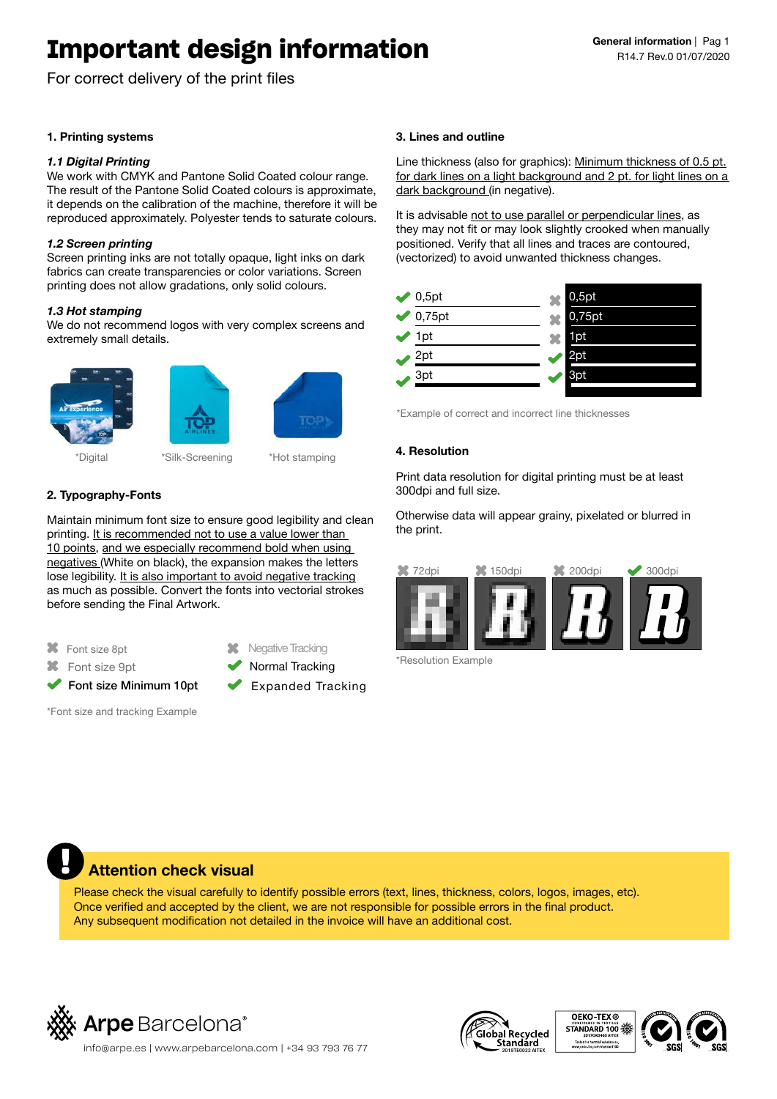# **Important design information**

For correct delivery of the print files

## **1. Printing systems**

## *1.1 Digital Printing*

We work with CMYK and Pantone Solid Coated colour range. The result of the Pantone Solid Coated colours is approximate, it depends on the calibration of the machine, therefore it will be reproduced approximately. Polyester tends to saturate colours.

## *1.2 Screen printing*

Screen printing inks are not totally opaque, light inks on dark fabrics can create transparencies or color variations. Screen printing does not allow gradations, only solid colours.

## *1.3 Hot stamping*

We do not recommend logos with very complex screens and extremely small details.





\*Digital \*Silk-Screening \*Hot stamping

**2. Typography-Fonts**

Maintain minimum font size to ensure good legibility and clean printing. It is recommended not to use a value lower than 10 points, and we especially recommend bold when using negatives (White on black), the expansion makes the letters lose legibility. It is also important to avoid negative tracking as much as possible. Convert the fonts into vectorial strokes before sending the Final Artwork.

Font size 8pt

**X** Font size 9pt

Font size Minimum 10pt

\*Font size and tracking Example

Normal Tracking

**X** Negative Tracking

Expanded Tracking

## **3. Lines and outline**

Line thickness (also for graphics): Minimum thickness of 0.5 pt. for dark lines on a light background and 2 pt. for light lines on a dark background (in negative).

It is advisable not to use parallel or perpendicular lines, as they may not fit or may look slightly crooked when manually positioned. Verify that all lines and traces are contoured, (vectorized) to avoid unwanted thickness changes.



\*Example of correct and incorrect line thicknesses

## **4. Resolution**

Print data resolution for digital printing must be at least 300dpi and full size.

Otherwise data will appear grainy, pixelated or blurred in the print.



\*Resolution Example



## **Attention check visual**

Please check the visual carefully to identify possible errors (text, lines, thickness, colors, logos, images, etc). Once verified and accepted by the client, we are not responsible for possible errors in the final product. Any subsequent modification not detailed in the invoice will have an additional cost.





 $\left| \int_{20}^{\infty}$  info@arpe.es | www.arpebarcelona.com | +34 93 793 76 77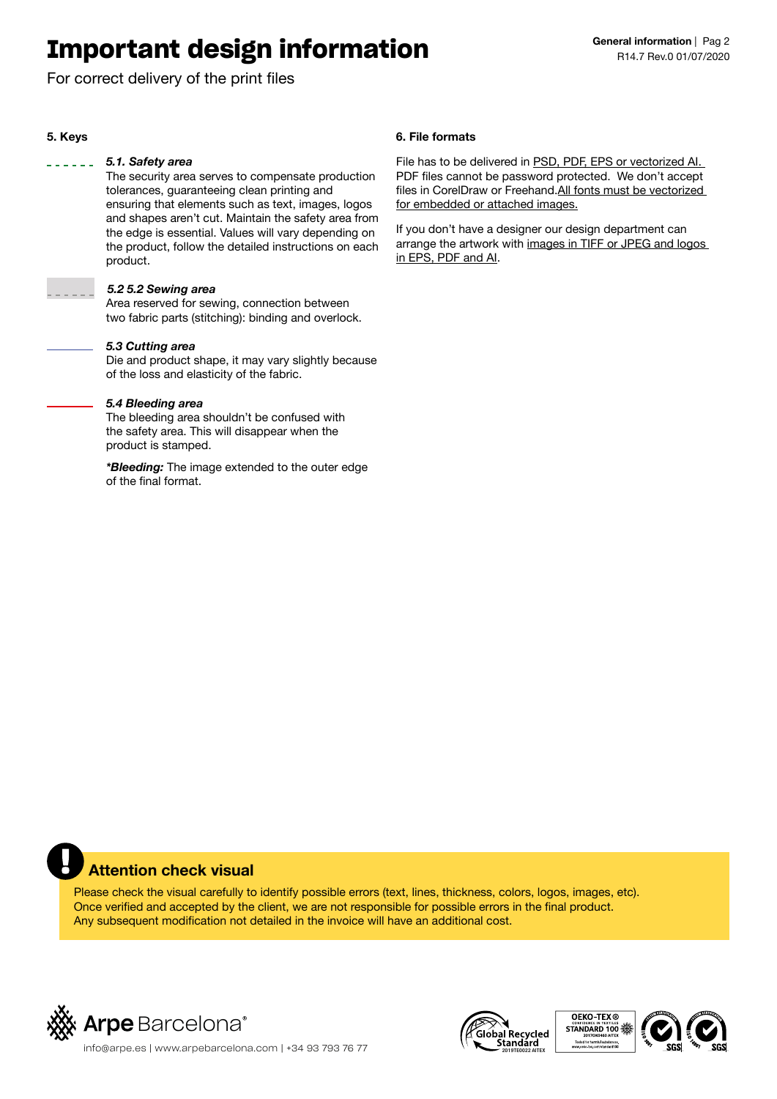# **Important design information**

For correct delivery of the print files

## **5. Keys**

## *5.1. Safety area*

The security area serves to compensate production tolerances, guaranteeing clean printing and ensuring that elements such as text, images, logos and shapes aren't cut. Maintain the safety area from the edge is essential. Values will vary depending on the product, follow the detailed instructions on each product.

## *5.2 5.2 Sewing area*

Area reserved for sewing, connection between two fabric parts (stitching): binding and overlock.

## *5.3 Cutting area*

Die and product shape, it may vary slightly because of the loss and elasticity of the fabric.

## *5.4 Bleeding area*

The bleeding area shouldn't be confused with the safety area. This will disappear when the product is stamped.

*\*Bleeding:* The image extended to the outer edge of the final format.

## **6. File formats**

File has to be delivered in PSD, PDF, EPS or vectorized Al. PDF files cannot be password protected. We don't accept files in CorelDraw or Freehand. All fonts must be vectorized for embedded or attached images.

If you don't have a designer our design department can arrange the artwork with images in TIFF or JPEG and logos in EPS, PDF and AI.

## **Attention check visual**

Please check the visual carefully to identify possible errors (text, lines, thickness, colors, logos, images, etc). Once verified and accepted by the client, we are not responsible for possible errors in the final product. Any subsequent modification not detailed in the invoice will have an additional cost.



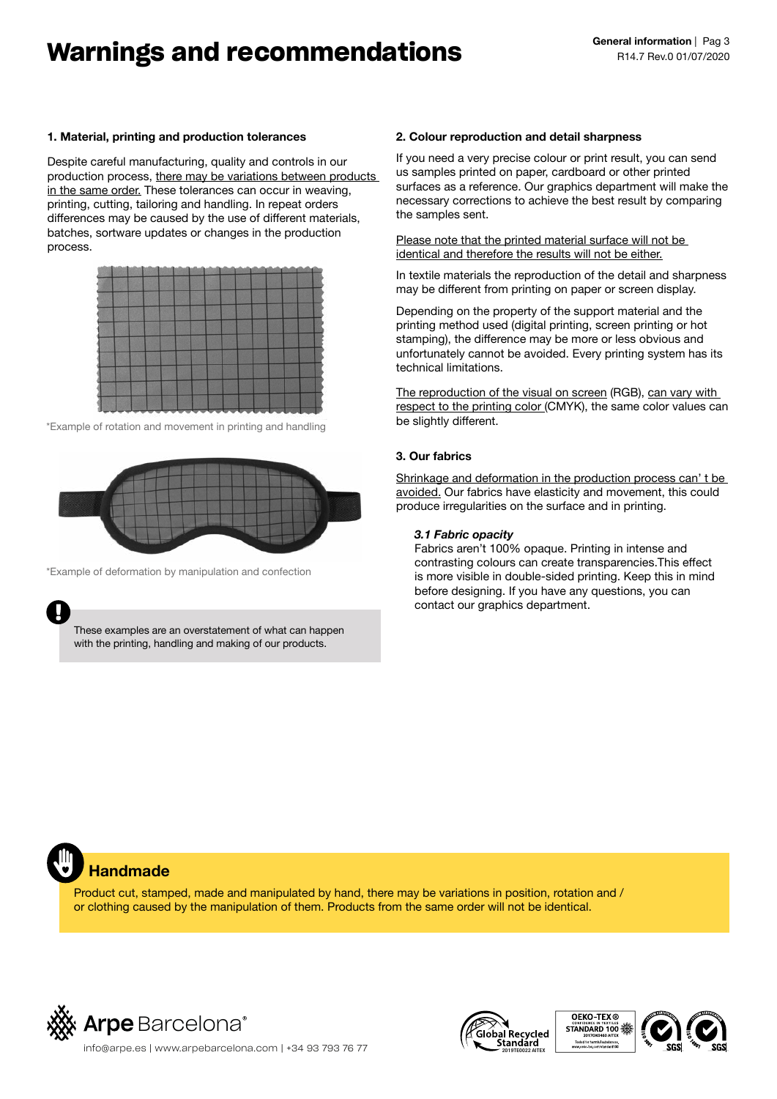# **Warnings and recommendations**

## **1. Material, printing and production tolerances**

Despite careful manufacturing, quality and controls in our production process, there may be variations between products in the same order. These tolerances can occur in weaving, printing, cutting, tailoring and handling. In repeat orders differences may be caused by the use of different materials, batches, sortware updates or changes in the production process.



\*Example of rotation and movement in printing and handling



\*Example of deformation by manipulation and confection



These examples are an overstatement of what can happen with the printing, handling and making of our products.

## **2. Colour reproduction and detail sharpness**

If you need a very precise colour or print result, you can send us samples printed on paper, cardboard or other printed surfaces as a reference. Our graphics department will make the necessary corrections to achieve the best result by comparing the samples sent.

Please note that the printed material surface will not be identical and therefore the results will not be either.

In textile materials the reproduction of the detail and sharpness may be different from printing on paper or screen display.

Depending on the property of the support material and the printing method used (digital printing, screen printing or hot stamping), the difference may be more or less obvious and unfortunately cannot be avoided. Every printing system has its technical limitations.

The reproduction of the visual on screen (RGB), can vary with respect to the printing color (CMYK), the same color values can be slightly different.

## **3. Our fabrics**

Shrinkage and deformation in the production process can' t be avoided. Our fabrics have elasticity and movement, this could produce irregularities on the surface and in printing.

## *3.1 Fabric opacity*

Fabrics aren't 100% opaque. Printing in intense and contrasting colours can create transparencies.This effect is more visible in double-sided printing. Keep this in mind before designing. If you have any questions, you can contact our graphics department.

## **Handmade**

Product cut, stamped, made and manipulated by hand, there may be variations in position, rotation and / or clothing caused by the manipulation of them. Products from the same order will not be identical.